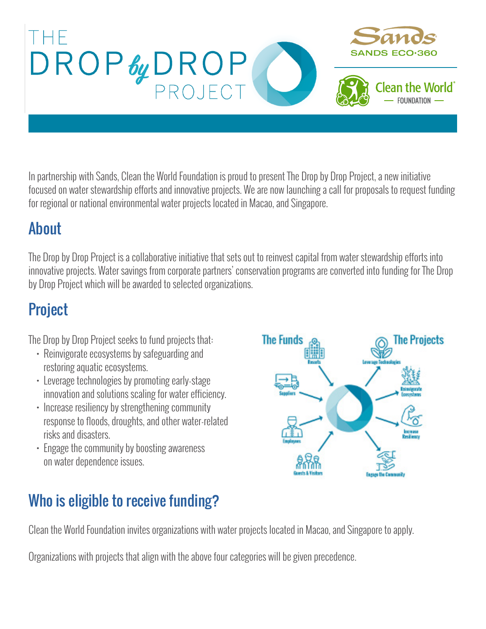

In partnership with Sands, Clean the World Foundation is proud to present The Drop by Drop Project, a new initiative focused on water stewardship efforts and innovative projects. We are now launching a call for proposals to request funding for regional or national environmental water projects located in Macao, and Singapore.

# About

The Drop by Drop Project is a collaborative initiative that sets out to reinvest capital from water stewardship efforts into innovative projects. Water savings from corporate partners' conservation programs are converted into funding for The Drop by Drop Project which will be awarded to selected organizations.

## Project

The Drop by Drop Project seeks to fund projects that:

- Reinvigorate ecosystems by safeguarding and restoring aquatic ecosystems.
- Leverage technologies by promoting early-stage innovation and solutions scaling for water efficiency.
- Increase resiliency by strengthening community response to floods, droughts, and other water-related risks and disasters.
- Engage the community by boosting awareness on water dependence issues.

# **The Funds The Projects**

# Who is eligible to receive funding?

Clean the World Foundation invites organizations with water projects located in Macao, and Singapore to apply.

Organizations with projects that align with the above four categories will be given precedence.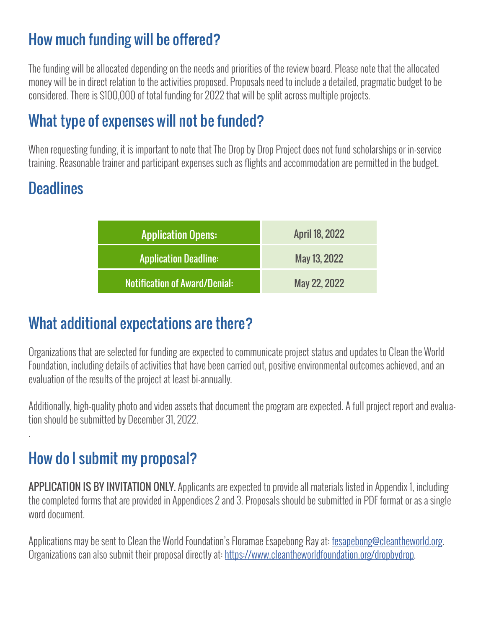# How much funding will be offered?

The funding will be allocated depending on the needs and priorities of the review board. Please note that the allocated money will be in direct relation to the activities proposed. Proposals need to include a detailed, pragmatic budget to be considered. There is \$100,000 of total funding for 2022 that will be split across multiple projects.

## What type of expenses will not be funded?

When requesting funding, it is important to note that The Drop by Drop Project does not fund scholarships or in-service training. Reasonable trainer and participant expenses such as flights and accommodation are permitted in the budget.

## **Deadlines**

.

| <b>Application Opens:</b>            | <b>April 18, 2022</b> |
|--------------------------------------|-----------------------|
| <b>Application Deadline:</b>         | May 13, 2022          |
| <b>Notification of Award/Denial:</b> | May 22, 2022          |

## What additional expectations are there?

Organizations that are selected for funding are expected to communicate project status and updates to Clean the World Foundation, including details of activities that have been carried out, positive environmental outcomes achieved, and an evaluation of the results of the project at least bi-annually.

Additionally, high-quality photo and video assets that document the program are expected. A full project report and evaluation should be submitted by December 31, 2022.

# How do I submit my proposal?

APPLICATION IS BY INVITATION ONLY. Applicants are expected to provide all materials listed in Appendix 1, including the completed forms that are provided in Appendices 2 and 3. Proposals should be submitted in PDF format or as a single word document.

Applications may be sent to Clean the World Foundation's Floramae Esapebong Ray at: [fesapebong@cleantheworld.org.](mailto:fesapebong%40cleantheworld.org?subject=) Organizations can also submit their proposal directly at:<https://www.cleantheworldfoundation.org/dropbydrop>.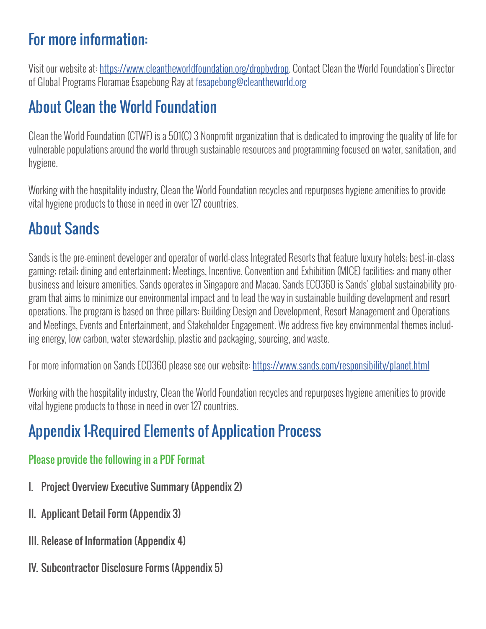# For more information:

Visit our website at: [https://www.cleantheworldfoundation.org/dropbydrop.](https://www.cleantheworldfoundation.org/dropbydrop) Contact Clean the World Foundation's Director of Global Programs Floramae Esapebong Ray at [fesapebong@cleantheworld.org](mailto:fesapebong@cleantheworld.org)

## About Clean the World Foundation

Clean the World Foundation (CTWF) is a 501(C) 3 Nonprofit organization that is dedicated to improving the quality of life for vulnerable populations around the world through sustainable resources and programming focused on water, sanitation, and hygiene.

Working with the hospitality industry, Clean the World Foundation recycles and repurposes hygiene amenities to provide vital hygiene products to those in need in over 127 countries.

# About Sands

Sands is the pre-eminent developer and operator of world-class Integrated Resorts that feature luxury hotels; best-in-class gaming; retail; dining and entertainment; Meetings, Incentive, Convention and Exhibition (MICE) facilities; and many other business and leisure amenities. Sands operates in Singapore and Macao. Sands ECO360 is Sands' global sustainability program that aims to minimize our environmental impact and to lead the way in sustainable building development and resort operations. The program is based on three pillars: Building Design and Development, Resort Management and Operations and Meetings, Events and Entertainment, and Stakeholder Engagement. We address five key environmental themes including energy, low carbon, water stewardship, plastic and packaging, sourcing, and waste.

For more information on Sands ECO360 please see our website:<https://www.sands.com/responsibility/planet.html>

Working with the hospitality industry, Clean the World Foundation recycles and repurposes hygiene amenities to provide vital hygiene products to those in need in over 127 countries.

# Appendix 1-Required Elements of Application Process

## Please provide the following in a PDF Format

- I. Project Overview Executive Summary (Appendix 2)
- II. Applicant Detail Form (Appendix 3)
- III. Release of Information (Appendix 4)
- IV. Subcontractor Disclosure Forms (Appendix 5)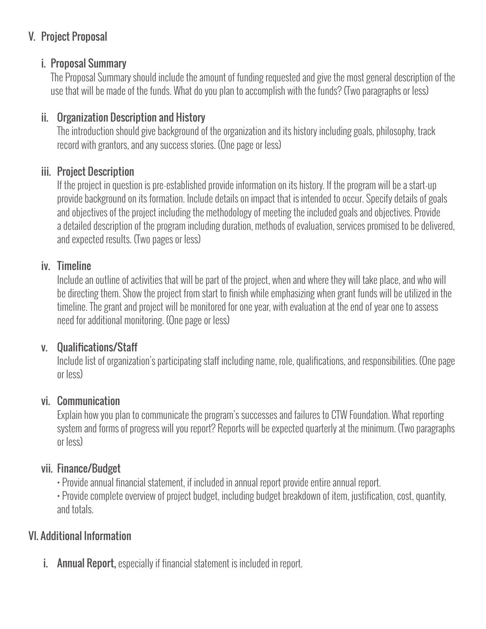## V. Project Proposal

## i. Proposal Summary

 The Proposal Summary should include the amount of funding requested and give the most general description of the use that will be made of the funds. What do you plan to accomplish with the funds? (Two paragraphs or less)

## ii. Organization Description and History

 The introduction should give background of the organization and its history including goals, philosophy, track record with grantors, and any success stories. (One page or less)

## iii. Project Description

 If the project in question is pre-established provide information on its history. If the program will be a start-up provide background on its formation. Include details on impact that is intended to occur. Specify details of goals and objectives of the project including the methodology of meeting the included goals and objectives. Provide a detailed description of the program including duration, methods of evaluation, services promised to be delivered, and expected results. (Two pages or less)

## iv. Timeline

 Include an outline of activities that will be part of the project, when and where they will take place, and who will be directing them. Show the project from start to finish while emphasizing when grant funds will be utilized in the timeline. The grant and project will be monitored for one year, with evaluation at the end of year one to assess need for additional monitoring. (One page or less)

## v. Qualifications/Staff

 Include list of organization's participating staff including name, role, qualifications, and responsibilities. (One page or less)

## vi. Communication

 Explain how you plan to communicate the program's successes and failures to CTW Foundation. What reporting system and forms of progress will you report? Reports will be expected quarterly at the minimum. (Two paragraphs or less)

## vii. Finance/Budget

• Provide annual financial statement, if included in annual report provide entire annual report.

 • Provide complete overview of project budget, including budget breakdown of item, justification, cost, quantity, and totals.

## VI. Additional Information

**i.** Annual Report, especially if financial statement is included in report.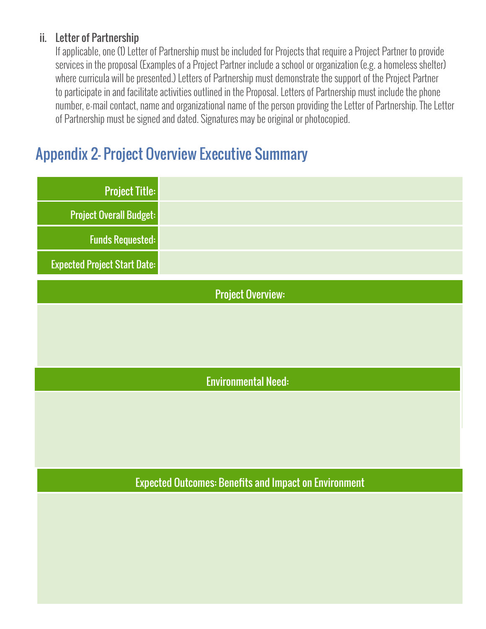## ii. Letter of Partnership

If applicable, one (1) Letter of Partnership must be included for Projects that require a Project Partner to provide services in the proposal (Examples of a Project Partner include a school or organization (e.g. a homeless shelter) where curricula will be presented.) Letters of Partnership must demonstrate the support of the Project Partner to participate in and facilitate activities outlined in the Proposal. Letters of Partnership must include the phone number, e-mail contact, name and organizational name of the person providing the Letter of Partnership. The Letter of Partnership must be signed and dated. Signatures may be original or photocopied.

## Appendix 2- Project Overview Executive Summary

| <b>Project Title:</b>                                        |  |
|--------------------------------------------------------------|--|
| <b>Project Overall Budget:</b>                               |  |
| <b>Funds Requested:</b>                                      |  |
| <b>Expected Project Start Date:</b>                          |  |
| <b>Project Overview:</b>                                     |  |
|                                                              |  |
|                                                              |  |
| <b>Environmental Need:</b>                                   |  |
|                                                              |  |
|                                                              |  |
|                                                              |  |
| <b>Expected Outcomes: Benefits and Impact on Environment</b> |  |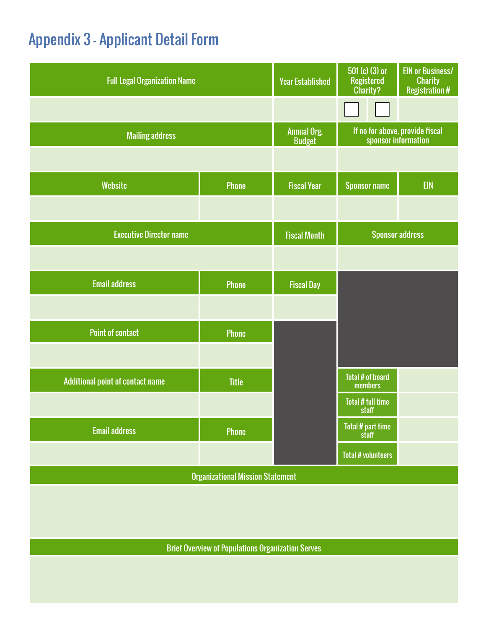# Appendix 3 - Applicant Detail Form

| <b>Full Legal Organization Name</b>     |              | <b>Year Established</b>             | 501 (c) (3) or<br>Registered<br>Charity? | <b>EIN or Business/</b><br><b>Charity</b><br><b>Registration #</b> |
|-----------------------------------------|--------------|-------------------------------------|------------------------------------------|--------------------------------------------------------------------|
|                                         |              |                                     |                                          |                                                                    |
| <b>Mailing address</b>                  |              | <b>Annual Org.</b><br><b>Budget</b> |                                          | If no for above, provide fiscal<br>sponsor information             |
|                                         |              |                                     |                                          |                                                                    |
| <b>Website</b>                          | <b>Phone</b> | <b>Fiscal Year</b>                  | <b>Sponsor name</b>                      | <b>EIN</b>                                                         |
|                                         |              |                                     |                                          |                                                                    |
| <b>Executive Director name</b>          |              | <b>Fiscal Month</b>                 | <b>Sponsor address</b>                   |                                                                    |
|                                         |              |                                     |                                          |                                                                    |
| <b>Email address</b>                    | <b>Phone</b> | <b>Fiscal Day</b>                   |                                          |                                                                    |
|                                         |              |                                     |                                          |                                                                    |
| <b>Point of contact</b>                 | Phone        |                                     |                                          |                                                                    |
|                                         |              |                                     |                                          |                                                                    |
| Additional point of contact name        | <b>Title</b> |                                     | Total # of board<br>members              |                                                                    |
|                                         |              |                                     | Total # full time<br>staff               |                                                                    |
| <b>Email address</b>                    | <b>Phone</b> |                                     | Total # part time<br>staff               |                                                                    |
|                                         |              |                                     | <b>Total # volunteers</b>                |                                                                    |
| <b>Organizational Mission Statement</b> |              |                                     |                                          |                                                                    |

Brief Overview of Populations Organization Serves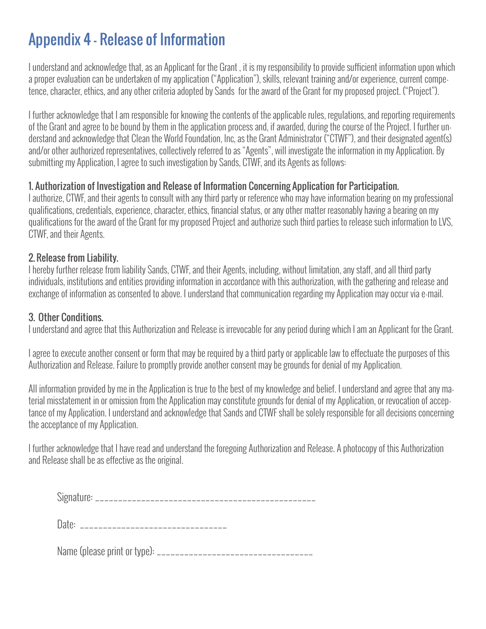# Appendix 4 - Release of Information

I understand and acknowledge that, as an Applicant for the Grant , it is my responsibility to provide sufficient information upon which a proper evaluation can be undertaken of my application ("Application"), skills, relevant training and/or experience, current competence, character, ethics, and any other criteria adopted by Sands for the award of the Grant for my proposed project. ("Project").

I further acknowledge that I am responsible for knowing the contents of the applicable rules, regulations, and reporting requirements of the Grant and agree to be bound by them in the application process and, if awarded, during the course of the Project. I further understand and acknowledge that Clean the World Foundation, Inc, as the Grant Administrator ("CTWF"), and their designated agent(s) and/or other authorized representatives, collectively referred to as "Agents", will investigate the information in my Application. By submitting my Application, I agree to such investigation by Sands, CTWF, and its Agents as follows:

#### 1. Authorization of Investigation and Release of Information Concerning Application for Participation.

I authorize, CTWF, and their agents to consult with any third party or reference who may have information bearing on my professional qualifications, credentials, experience, character, ethics, financial status, or any other matter reasonably having a bearing on my qualifications for the award of the Grant for my proposed Project and authorize such third parties to release such information to LVS, CTWF, and their Agents.

## 2. Release from Liability.

I hereby further release from liability Sands, CTWF, and their Agents, including, without limitation, any staff, and all third party individuals, institutions and entities providing information in accordance with this authorization, with the gathering and release and exchange of information as consented to above. I understand that communication regarding my Application may occur via e-mail.

## 3. Other Conditions.

I understand and agree that this Authorization and Release is irrevocable for any period during which I am an Applicant for the Grant.

I agree to execute another consent or form that may be required by a third party or applicable law to effectuate the purposes of this Authorization and Release. Failure to promptly provide another consent may be grounds for denial of my Application.

All information provided by me in the Application is true to the best of my knowledge and belief. I understand and agree that any material misstatement in or omission from the Application may constitute grounds for denial of my Application, or revocation of acceptance of my Application. I understand and acknowledge that Sands and CTWF shall be solely responsible for all decisions concerning the acceptance of my Application.

I further acknowledge that I have read and understand the foregoing Authorization and Release. A photocopy of this Authorization and Release shall be as effective as the original.

| $ -$ |
|------|
|      |

Date: \_\_\_\_\_\_\_\_\_\_\_\_\_\_\_\_\_\_\_\_\_\_\_\_\_\_\_\_\_\_\_\_

Name (please print or type): \_\_\_\_\_\_\_\_\_\_\_\_\_\_\_\_\_\_\_\_\_\_\_\_\_\_\_\_\_\_\_\_\_\_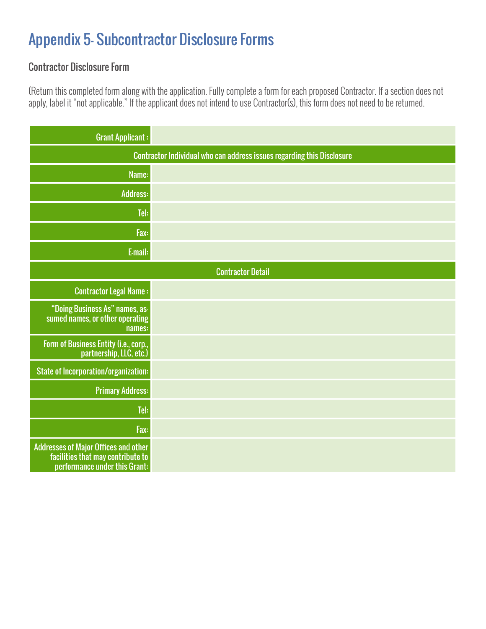# Appendix 5- Subcontractor Disclosure Forms

## Contractor Disclosure Form

(Return this completed form along with the application. Fully complete a form for each proposed Contractor. If a section does not apply, label it "not applicable." If the applicant does not intend to use Contractor(s), this form does not need to be returned.

| <b>Grant Applicant:</b>                                                                                           |                          |  |
|-------------------------------------------------------------------------------------------------------------------|--------------------------|--|
| Contractor Individual who can address issues regarding this Disclosure                                            |                          |  |
| Name:                                                                                                             |                          |  |
| <b>Address:</b>                                                                                                   |                          |  |
| Tel:                                                                                                              |                          |  |
| Fax:                                                                                                              |                          |  |
| E-mail:                                                                                                           |                          |  |
|                                                                                                                   | <b>Contractor Detail</b> |  |
| <b>Contractor Legal Name:</b>                                                                                     |                          |  |
| "Doing Business As" names, as-<br>sumed names, or other operating<br>names:                                       |                          |  |
| Form of Business Entity (i.e., corp.,<br>partnership, LLC, etc.)                                                  |                          |  |
| State of Incorporation/organization:                                                                              |                          |  |
| <b>Primary Address:</b>                                                                                           |                          |  |
| Tel:                                                                                                              |                          |  |
| Fax:                                                                                                              |                          |  |
| <b>Addresses of Major Offices and other</b><br>facilities that may contribute to<br>performance under this Grant: |                          |  |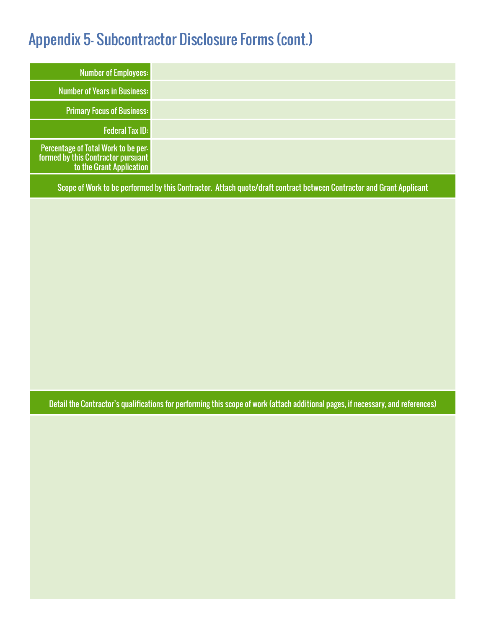## Appendix 5- Subcontractor Disclosure Forms (cont.)

| Number of Employees:                                                                             |  |
|--------------------------------------------------------------------------------------------------|--|
| <b>Number of Years in Business:</b>                                                              |  |
| <b>Primary Focus of Business:</b>                                                                |  |
| <b>Federal Tax ID:</b>                                                                           |  |
| Percentage of Total Work to be performed by this Contractor pursuant<br>to the Grant Application |  |

Scope of Work to be performed by this Contractor. Attach quote/draft contract between Contractor and Grant Applicant

Detail the Contractor's qualifications for performing this scope of work (attach additional pages, if necessary, and references)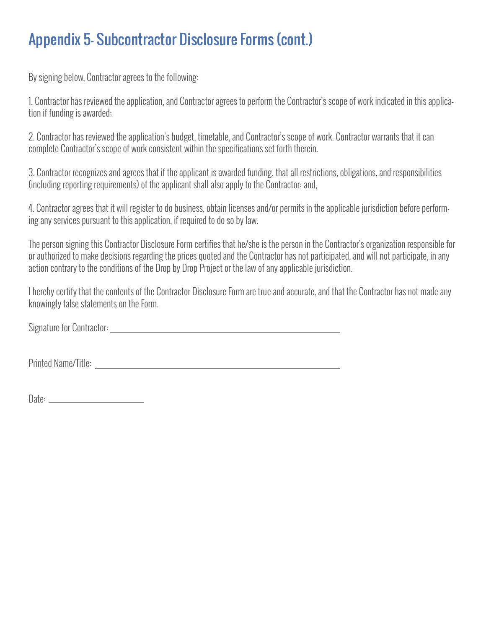# Appendix 5- Subcontractor Disclosure Forms (cont.)

By signing below, Contractor agrees to the following:

1. Contractor has reviewed the application, and Contractor agrees to perform the Contractor's scope of work indicated in this application if funding is awarded;

2. Contractor has reviewed the application's budget, timetable, and Contractor's scope of work. Contractor warrants that it can complete Contractor's scope of work consistent within the specifications set forth therein.

3. Contractor recognizes and agrees that if the applicant is awarded funding, that all restrictions, obligations, and responsibilities (including reporting requirements) of the applicant shall also apply to the Contractor; and,

4. Contractor agrees that it will register to do business, obtain licenses and/or permits in the applicable jurisdiction before performing any services pursuant to this application, if required to do so by law.

The person signing this Contractor Disclosure Form certifies that he/she is the person in the Contractor's organization responsible for or authorized to make decisions regarding the prices quoted and the Contractor has not participated, and will not participate, in any action contrary to the conditions of the Drop by Drop Project or the law of any applicable jurisdiction.

I hereby certify that the contents of the Contractor Disclosure Form are true and accurate, and that the Contractor has not made any knowingly false statements on the Form.

Signature for Contractor: Contractor: Contractor: Contractor: Contractor: Contractor: Contractor: Contractor: Contractor: Contractor: Contractor: Contractor: Contractor: Contractor: Contractor: Contractor: Contractor: Cont

Printed Name/Title:

Date: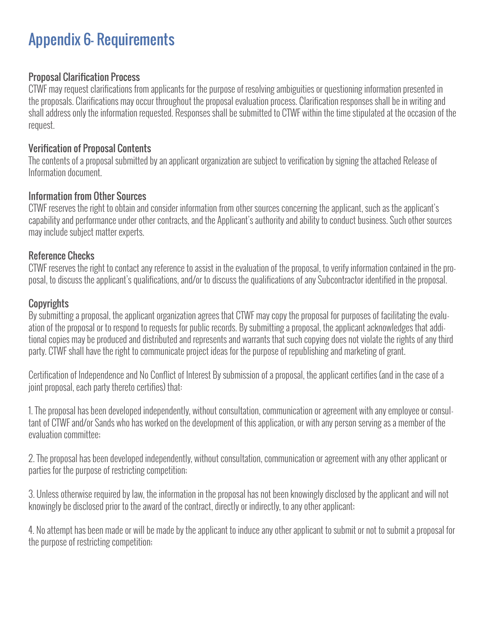## Appendix 6- Requirements

## Proposal Clarification Process

CTWF may request clarifications from applicants for the purpose of resolving ambiguities or questioning information presented in the proposals. Clarifications may occur throughout the proposal evaluation process. Clarification responses shall be in writing and shall address only the information requested. Responses shall be submitted to CTWF within the time stipulated at the occasion of the request.

#### Verification of Proposal Contents

The contents of a proposal submitted by an applicant organization are subject to verification by signing the attached Release of Information document.

#### Information from Other Sources

CTWF reserves the right to obtain and consider information from other sources concerning the applicant, such as the applicant's capability and performance under other contracts, and the Applicant's authority and ability to conduct business. Such other sources may include subject matter experts.

#### Reference Checks

CTWF reserves the right to contact any reference to assist in the evaluation of the proposal, to verify information contained in the proposal, to discuss the applicant's qualifications, and/or to discuss the qualifications of any Subcontractor identified in the proposal.

## **Copyrights**

By submitting a proposal, the applicant organization agrees that CTWF may copy the proposal for purposes of facilitating the evaluation of the proposal or to respond to requests for public records. By submitting a proposal, the applicant acknowledges that additional copies may be produced and distributed and represents and warrants that such copying does not violate the rights of any third party. CTWF shall have the right to communicate project ideas for the purpose of republishing and marketing of grant.

Certification of Independence and No Conflict of Interest By submission of a proposal, the applicant certifies (and in the case of a joint proposal, each party thereto certifies) that:

1. The proposal has been developed independently, without consultation, communication or agreement with any employee or consultant of CTWF and/or Sands who has worked on the development of this application, or with any person serving as a member of the evaluation committee;

2. The proposal has been developed independently, without consultation, communication or agreement with any other applicant or parties for the purpose of restricting competition;

3. Unless otherwise required by law, the information in the proposal has not been knowingly disclosed by the applicant and will not knowingly be disclosed prior to the award of the contract, directly or indirectly, to any other applicant;

4. No attempt has been made or will be made by the applicant to induce any other applicant to submit or not to submit a proposal for the purpose of restricting competition;